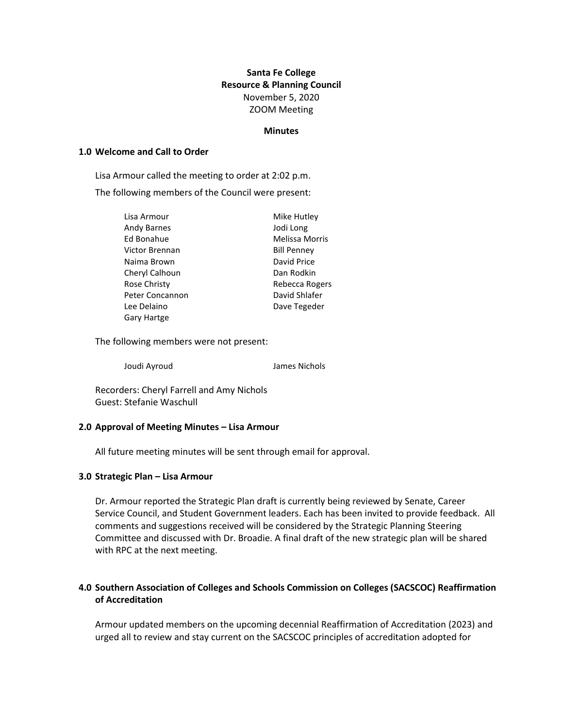# **Santa Fe College Resource & Planning Council** November 5, 2020 ZOOM Meeting

#### **Minutes**

### **1.0 Welcome and Call to Order**

Lisa Armour called the meeting to order at 2:02 p.m.

The following members of the Council were present:

| Lisa Armour        | Mike Hutley           |
|--------------------|-----------------------|
| <b>Andy Barnes</b> | Jodi Long             |
| Ed Bonahue         | <b>Melissa Morris</b> |
| Victor Brennan     | <b>Bill Penney</b>    |
| Naima Brown        | David Price           |
| Cheryl Calhoun     | Dan Rodkin            |
| Rose Christy       | Rebecca Rogers        |
| Peter Concannon    | David Shlafer         |
| Lee Delaino        | Dave Tegeder          |
| <b>Gary Hartge</b> |                       |

The following members were not present:

Joudi Ayroud James Nichols

Recorders: Cheryl Farrell and Amy Nichols Guest: Stefanie Waschull

#### **2.0 Approval of Meeting Minutes – Lisa Armour**

All future meeting minutes will be sent through email for approval.

#### **3.0 Strategic Plan – Lisa Armour**

Dr. Armour reported the Strategic Plan draft is currently being reviewed by Senate, Career Service Council, and Student Government leaders. Each has been invited to provide feedback. All comments and suggestions received will be considered by the Strategic Planning Steering Committee and discussed with Dr. Broadie. A final draft of the new strategic plan will be shared with RPC at the next meeting.

## **4.0 Southern Association of Colleges and Schools Commission on Colleges (SACSCOC) Reaffirmation of Accreditation**

Armour updated members on the upcoming decennial Reaffirmation of Accreditation (2023) and urged all to review and stay current on the SACSCOC principles of accreditation adopted for